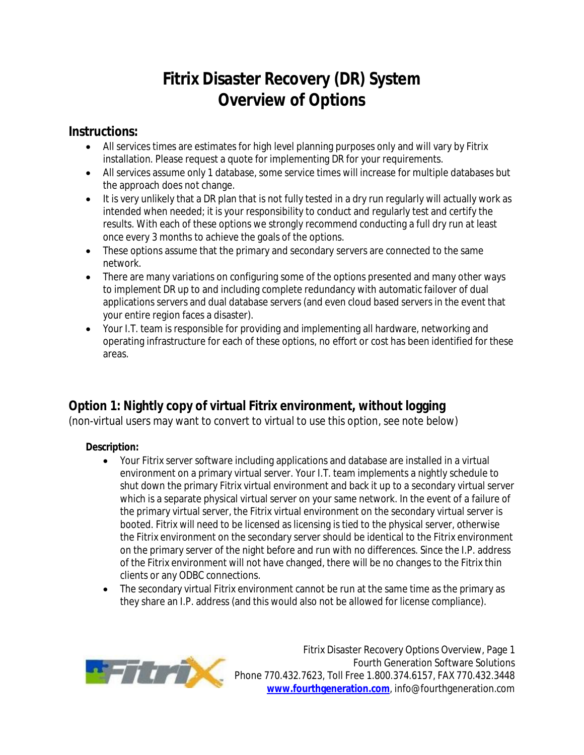# **Fitrix Disaster Recovery (DR) System Overview of Options**

### **Instructions:**

- All services times are estimates for high level planning purposes only and will vary by Fitrix installation. Please request a quote for implementing DR for your requirements.
- All services assume only 1 database, some service times will increase for multiple databases but the approach does not change.
- It is very unlikely that a DR plan that is not fully tested in a dry run regularly will actually work as intended when needed; it is your responsibility to conduct and regularly test and certify the results. With each of these options we strongly recommend conducting a full dry run at least once every 3 months to achieve the goals of the options.
- These options assume that the primary and secondary servers are connected to the same network.
- There are many variations on configuring some of the options presented and many other ways to implement DR up to and including complete redundancy with automatic failover of dual applications servers and dual database servers (and even cloud based servers in the event that your entire region faces a disaster).
- Your I.T. team is responsible for providing and implementing all hardware, networking and operating infrastructure for each of these options, no effort or cost has been identified for these areas.

# **Option 1: Nightly copy of virtual Fitrix environment, without logging**

(non-virtual users may want to convert to virtual to use this option, see note below)

#### **Description:**

- Your Fitrix server software including applications and database are installed in a virtual environment on a primary virtual server. Your I.T. team implements a nightly schedule to shut down the primary Fitrix virtual environment and back it up to a secondary virtual server which is a separate physical virtual server on your same network. In the event of a failure of the primary virtual server, the Fitrix virtual environment on the secondary virtual server is booted. Fitrix will need to be licensed as licensing is tied to the physical server, otherwise the Fitrix environment on the secondary server should be identical to the Fitrix environment on the primary server of the night before and run with no differences. Since the I.P. address of the Fitrix environment will not have changed, there will be no changes to the Fitrix thin clients or any ODBC connections.
- The secondary virtual Fitrix environment cannot be run at the same time as the primary as they share an I.P. address (and this would also not be allowed for license compliance).



Fitrix Disaster Recovery Options Overview, Page 1 Fourth Generation Software Solutions Phone 770.432.7623, Toll Free 1.800.374.6157, FAX 770.432.3448 **www.fourthgeneration.com**, info@fourthgeneration.com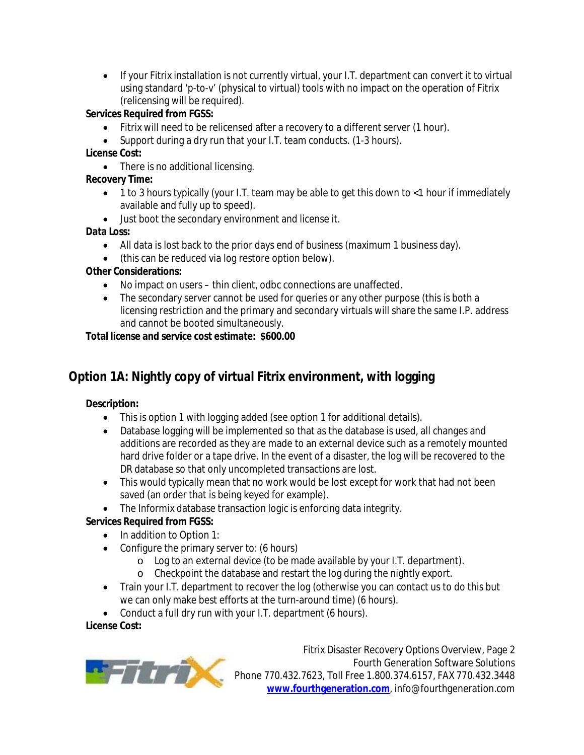• If your Fitrix installation is not currently virtual, your I.T. department can convert it to virtual using standard 'p-to-v' (physical to virtual) tools with no impact on the operation of Fitrix (relicensing will be required).

#### **Services Required from FGSS:**

- Fitrix will need to be relicensed after a recovery to a different server (1 hour).
- Support during a dry run that your I.T. team conducts. (1-3 hours).

#### **License Cost:**

• There is no additional licensing.

#### **Recovery Time:**

- 1 to 3 hours typically (your I.T. team may be able to get this down to <1 hour if immediately available and fully up to speed).
- Just boot the secondary environment and license it.

#### **Data Loss:**

- All data is lost back to the prior days end of business (maximum 1 business day).
- (this can be reduced via log restore option below).

#### **Other Considerations:**

- No impact on users thin client, odbc connections are unaffected.
- The secondary server cannot be used for queries or any other purpose (this is both a licensing restriction and the primary and secondary virtuals will share the same I.P. address and cannot be booted simultaneously.

#### **Total license and service cost estimate: \$600.00**

# **Option 1A: Nightly copy of virtual Fitrix environment, with logging**

#### **Description:**

- This is option 1 with logging added (see option 1 for additional details).
- Database logging will be implemented so that as the database is used, all changes and additions are recorded as they are made to an external device such as a remotely mounted hard drive folder or a tape drive. In the event of a disaster, the log will be recovered to the DR database so that only uncompleted transactions are lost.
- This would typically mean that no work would be lost except for work that had not been saved (an order that is being keyed for example).
- The Informix database transaction logic is enforcing data integrity.

#### **Services Required from FGSS:**

- In addition to Option 1:
- Configure the primary server to: (6 hours)
	- o Log to an external device (to be made available by your I.T. department).
	- o Checkpoint the database and restart the log during the nightly export.
- Train your I.T. department to recover the log (otherwise you can contact us to do this but we can only make best efforts at the turn-around time) (6 hours).
- Conduct a full dry run with your I.T. department (6 hours).

#### **License Cost:**



Fitrix Disaster Recovery Options Overview, Page 2 Fourth Generation Software Solutions Phone 770.432.7623, Toll Free 1.800.374.6157, FAX 770.432.3448 **www.fourthgeneration.com**, info@fourthgeneration.com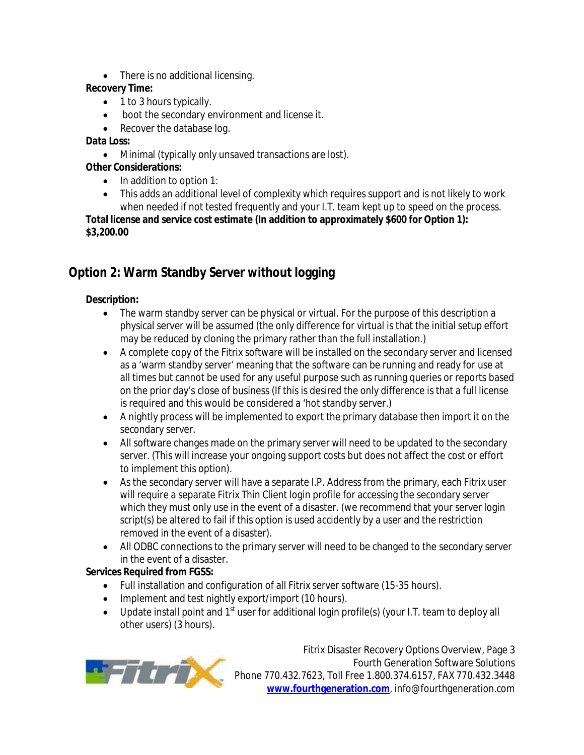• There is no additional licensing.

#### **Recovery Time:**

- 1 to 3 hours typically.
- boot the secondary environment and license it.
- Recover the database log.

#### **Data Loss:**

Minimal (typically only unsaved transactions are lost).

#### **Other Considerations:**

- $\bullet$  In addition to option 1:
- This adds an additional level of complexity which requires support and is not likely to work when needed if not tested frequently and your I.T. team kept up to speed on the process.

**Total license and service cost estimate (In addition to approximately \$600 for Option 1): \$3,200.00**

# **Option 2: Warm Standby Server without logging**

#### **Description:**

- The warm standby server can be physical or virtual. For the purpose of this description a physical server will be assumed (the only difference for virtual is that the initial setup effort may be reduced by cloning the primary rather than the full installation.)
- A complete copy of the Fitrix software will be installed on the secondary server and licensed as a 'warm standby server' meaning that the software can be running and ready for use at all times but cannot be used for any useful purpose such as running queries or reports based on the prior day's close of business (If this is desired the only difference is that a full license is required and this would be considered a 'hot standby server.)
- A nightly process will be implemented to export the primary database then import it on the secondary server.
- All software changes made on the primary server will need to be updated to the secondary server. (This will increase your ongoing support costs but does not affect the cost or effort to implement this option).
- As the secondary server will have a separate I.P. Address from the primary, each Fitrix user will require a separate Fitrix Thin Client login profile for accessing the secondary server which they must only use in the event of a disaster. (we recommend that your server login script(s) be altered to fail if this option is used accidently by a user and the restriction removed in the event of a disaster).
- All ODBC connections to the primary server will need to be changed to the secondary server in the event of a disaster.

#### **Services Required from FGSS:**

- Full installation and configuration of all Fitrix server software (15-35 hours).
- Implement and test nightly export/import (10 hours).
- Update install point and 1<sup>st</sup> user for additional login profile(s) (your I.T. team to deploy all other users) (3 hours).



Fitrix Disaster Recovery Options Overview, Page 3 Fourth Generation Software Solutions Phone 770.432.7623, Toll Free 1.800.374.6157, FAX 770.432.3448 **www.fourthgeneration.com**, info@fourthgeneration.com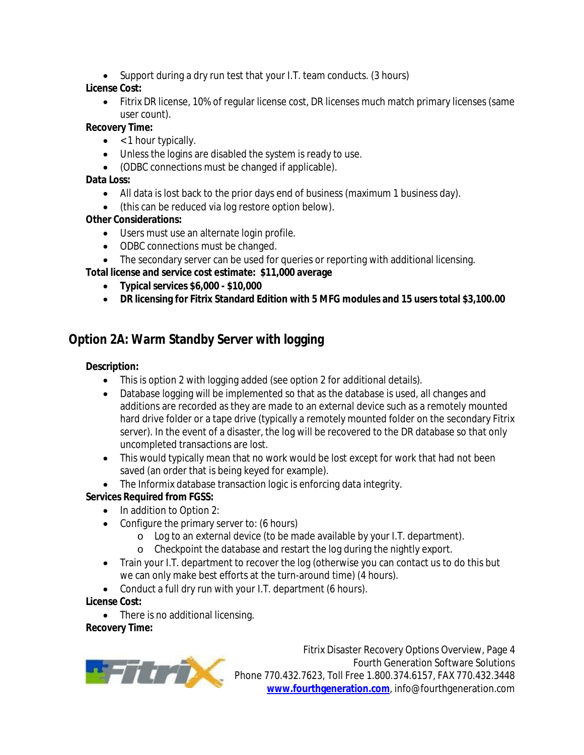• Support during a dry run test that your I.T. team conducts. (3 hours)

#### **License Cost:**

 Fitrix DR license, 10% of regular license cost, DR licenses much match primary licenses (same user count).

#### **Recovery Time:**

- $\bullet$  < 1 hour typically.
- Unless the logins are disabled the system is ready to use.
- (ODBC connections must be changed if applicable).

#### **Data Loss:**

- All data is lost back to the prior days end of business (maximum 1 business day).
- (this can be reduced via log restore option below).

#### **Other Considerations:**

- Users must use an alternate login profile.
- ODBC connections must be changed.
- The secondary server can be used for queries or reporting with additional licensing.

**Total license and service cost estimate: \$11,000 average**

- **Typical services \$6,000 - \$10,000**
- **DR licensing for Fitrix Standard Edition with 5 MFG modules and 15 users total \$3,100.00**

# **Option 2A: Warm Standby Server with logging**

#### **Description:**

- This is option 2 with logging added (see option 2 for additional details).
- Database logging will be implemented so that as the database is used, all changes and additions are recorded as they are made to an external device such as a remotely mounted hard drive folder or a tape drive (typically a remotely mounted folder on the secondary Fitrix server). In the event of a disaster, the log will be recovered to the DR database so that only uncompleted transactions are lost.
- This would typically mean that no work would be lost except for work that had not been saved (an order that is being keyed for example).
- The Informix database transaction logic is enforcing data integrity.

#### **Services Required from FGSS:**

- In addition to Option 2:
- Configure the primary server to: (6 hours)
	- o Log to an external device (to be made available by your I.T. department).
	- o Checkpoint the database and restart the log during the nightly export.
- Train your I.T. department to recover the log (otherwise you can contact us to do this but we can only make best efforts at the turn-around time) (4 hours).
- Conduct a full dry run with your I.T. department (6 hours).

#### **License Cost:**

• There is no additional licensing.

#### **Recovery Time:**



Fitrix Disaster Recovery Options Overview, Page 4 Fourth Generation Software Solutions Phone 770.432.7623, Toll Free 1.800.374.6157, FAX 770.432.3448 **www.fourthgeneration.com**, info@fourthgeneration.com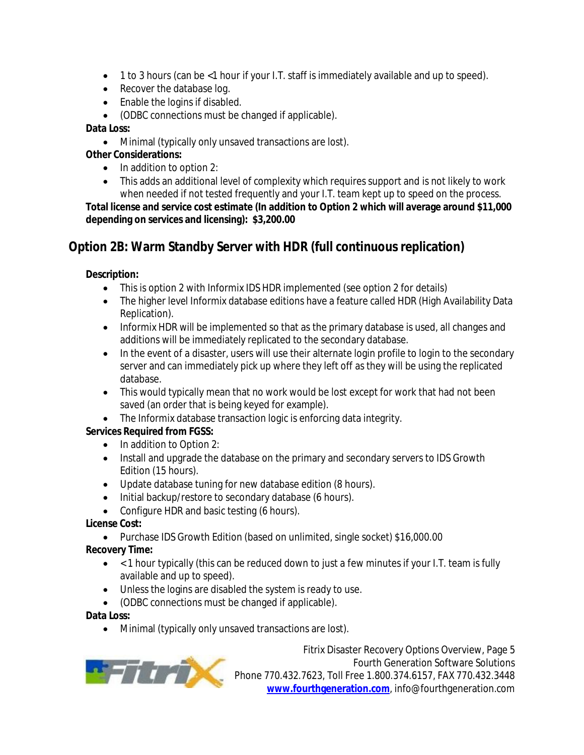- 1 to 3 hours (can be <1 hour if your I.T. staff is immediately available and up to speed).
- Recover the database log.
- Enable the logins if disabled.
- (ODBC connections must be changed if applicable).

#### **Data Loss:**

Minimal (typically only unsaved transactions are lost).

#### **Other Considerations:**

- $\bullet$  In addition to option 2:
- This adds an additional level of complexity which requires support and is not likely to work when needed if not tested frequently and your I.T. team kept up to speed on the process.

**Total license and service cost estimate (In addition to Option 2 which will average around \$11,000 depending on services and licensing): \$3,200.00**

# **Option 2B: Warm Standby Server with HDR (full continuous replication)**

#### **Description:**

- This is option 2 with Informix IDS HDR implemented (see option 2 for details)
- The higher level Informix database editions have a feature called HDR (High Availability Data Replication).
- Informix HDR will be implemented so that as the primary database is used, all changes and additions will be immediately replicated to the secondary database.
- In the event of a disaster, users will use their alternate login profile to login to the secondary server and can immediately pick up where they left off as they will be using the replicated database.
- This would typically mean that no work would be lost except for work that had not been saved (an order that is being keyed for example).
- The Informix database transaction logic is enforcing data integrity.

#### **Services Required from FGSS:**

- In addition to Option 2:
- Install and upgrade the database on the primary and secondary servers to IDS Growth Edition (15 hours).
- Update database tuning for new database edition (8 hours).
- Initial backup/restore to secondary database (6 hours).
- Configure HDR and basic testing (6 hours).

#### **License Cost:**

Purchase IDS Growth Edition (based on unlimited, single socket) \$16,000.00

#### **Recovery Time:**

- $\bullet$  < 1 hour typically (this can be reduced down to just a few minutes if your I.T. team is fully available and up to speed).
- Unless the logins are disabled the system is ready to use.
- (ODBC connections must be changed if applicable).

#### **Data Loss:**

Minimal (typically only unsaved transactions are lost).



Fitrix Disaster Recovery Options Overview, Page 5 Fourth Generation Software Solutions Phone 770.432.7623, Toll Free 1.800.374.6157, FAX 770.432.3448 **www.fourthgeneration.com**, info@fourthgeneration.com